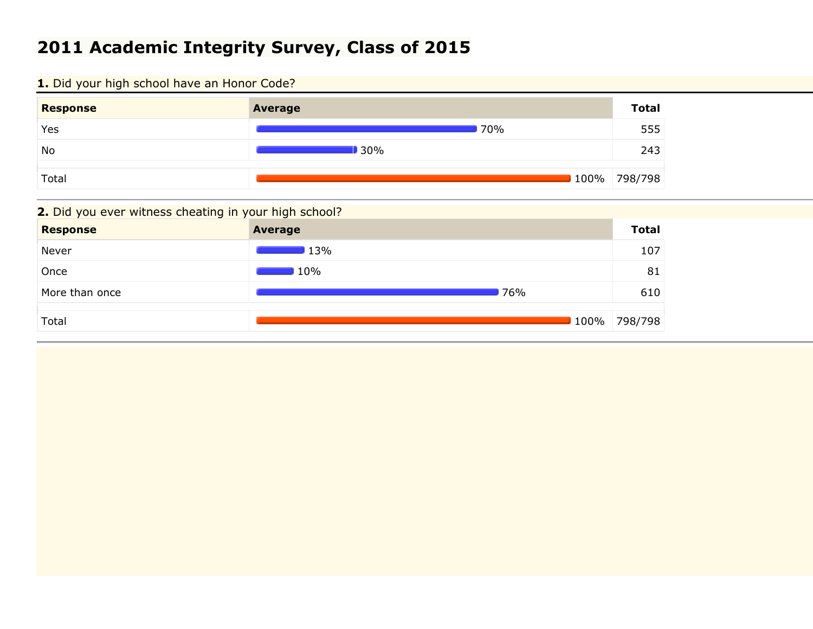# **2011 Academic Integrity Survey, Class of 2015**

### 1. Did your high school have an Honor Code?



## **2.** Did you ever witness cheating in your high school?

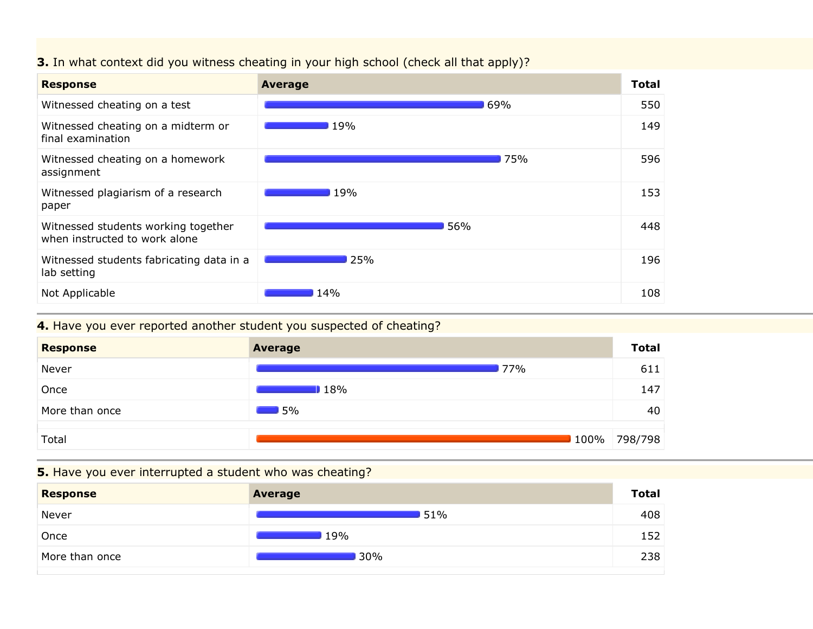### **3.** In what context did you witness cheating in your high school (check all that apply)?



### **4.** Have you ever reported another student you suspected of cheating?



### **5.** Have you ever interrupted a student who was cheating?

| <b>Response</b> | Average | <b>Total</b> |
|-----------------|---------|--------------|
| Never           | 51%     | 408          |
| Once            | 19%     | 152          |
| More than once  | 30%     | 238          |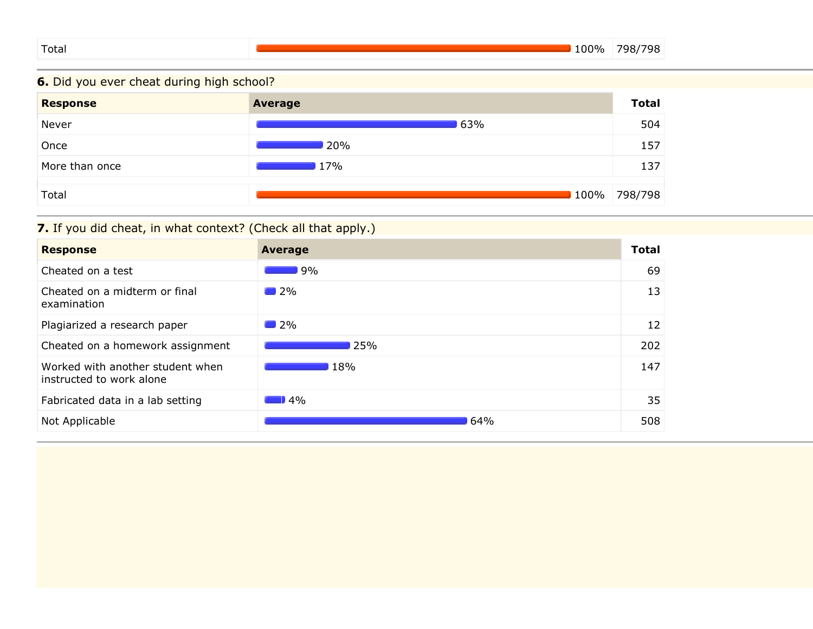### **6.** Did you ever cheat during high school?



## **7.** If you did cheat, in what context? (Check all that apply.)

| <b>Response</b>                                              | <b>Average</b>    | <b>Total</b> |
|--------------------------------------------------------------|-------------------|--------------|
| Cheated on a test                                            | 9%                | 69           |
| Cheated on a midterm or final<br>examination                 | $\Box$ 2%         | 13           |
| Plagiarized a research paper                                 | $\blacksquare$ 2% | 12           |
| Cheated on a homework assignment                             | <b>25%</b>        | 202          |
| Worked with another student when<br>instructed to work alone | 18%               | 147          |
| Fabricated data in a lab setting                             | $\blacksquare$ 4% | 35           |
| Not Applicable                                               | 64%               | 508          |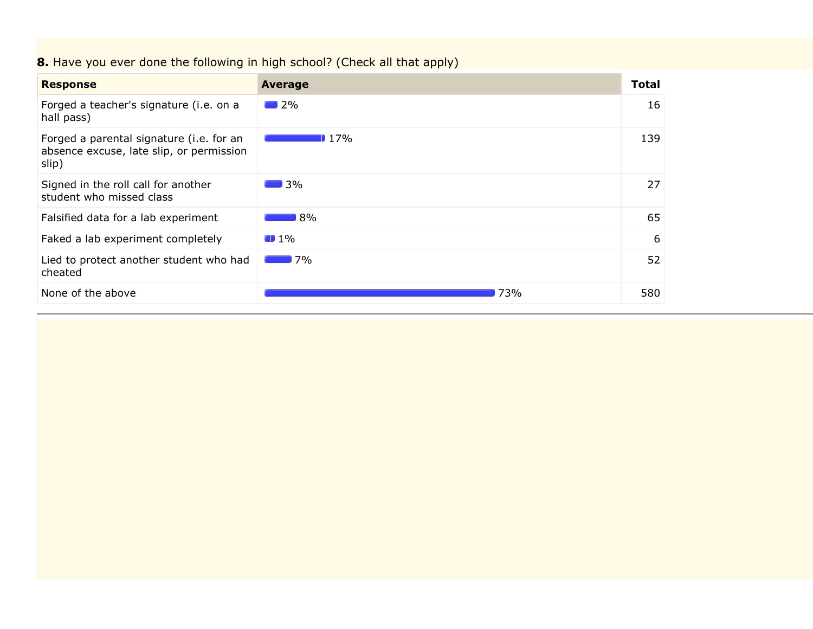# **8.** Have you ever done the following in high school? (Check all that apply)

| <b>Response</b>                                                                               | <b>Average</b>    | <b>Total</b> |
|-----------------------------------------------------------------------------------------------|-------------------|--------------|
| Forged a teacher's signature (i.e. on a<br>hall pass)                                         | 2%                | 16           |
| Forged a parental signature (i.e. for an<br>absence excuse, late slip, or permission<br>slip) | 17%               | 139          |
| Signed in the roll call for another<br>student who missed class                               | $\blacksquare$ 3% | 27           |
| Falsified data for a lab experiment                                                           | 8%                | 65           |
| Faked a lab experiment completely                                                             | $\blacksquare$ 1% | 6            |
| Lied to protect another student who had<br>cheated                                            | 7%                | 52           |
| None of the above                                                                             | 73%               | 580          |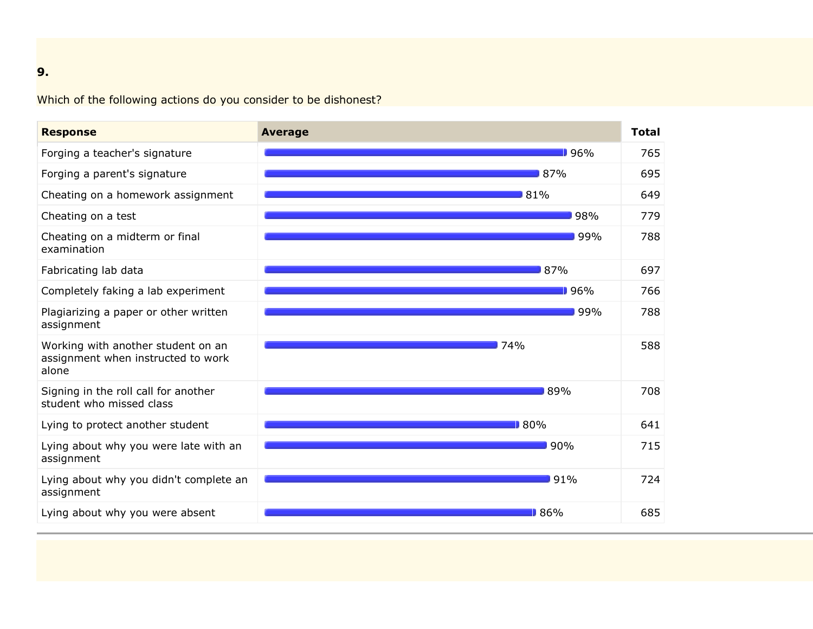#### **9.**

Which of the following actions do you consider to be dishonest?

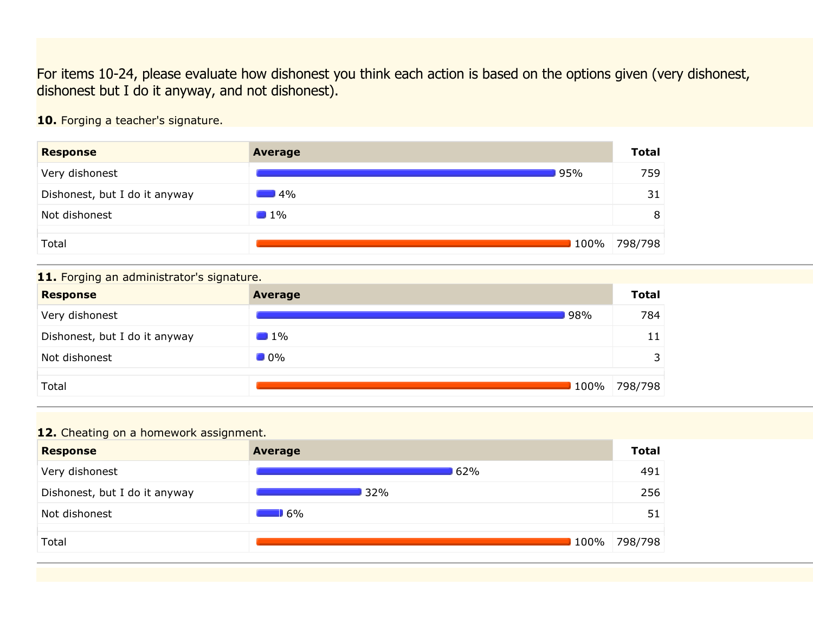For items 10-24, please evaluate how dishonest you think each action is based on the options given (very dishonest, dishonest but I do it anyway, and not dishonest).

**10.** Forging a teacher's signature.

| <b>Response</b>               | <b>Average</b>    | <b>Total</b> |
|-------------------------------|-------------------|--------------|
| Very dishonest                | 95%               | 759          |
| Dishonest, but I do it anyway | $\blacksquare$ 4% | 31           |
| Not dishonest                 | $\blacksquare$ 1% | 8            |
| Total                         | 100%              | 798/798      |

### **11.** Forging an administrator's signature.

| <b>Response</b>               | <b>Average</b>    | <b>Total</b> |
|-------------------------------|-------------------|--------------|
| Very dishonest                | 98%               | 784          |
| Dishonest, but I do it anyway | $\blacksquare$ 1% |              |
| Not dishonest                 | $\blacksquare$ 0% |              |
| Total                         | 100%              | 798/798      |

### **12.** Cheating on a homework assignment.

| <b>Response</b>               | <b>Average</b>                              | <b>Total</b> |
|-------------------------------|---------------------------------------------|--------------|
| Very dishonest                | 62%                                         | 491          |
| Dishonest, but I do it anyway | 32%                                         | 256          |
| Not dishonest                 | $\blacksquare$ 6%<br><b>Service Service</b> | 51           |
| Total                         | 100%                                        | 798/798      |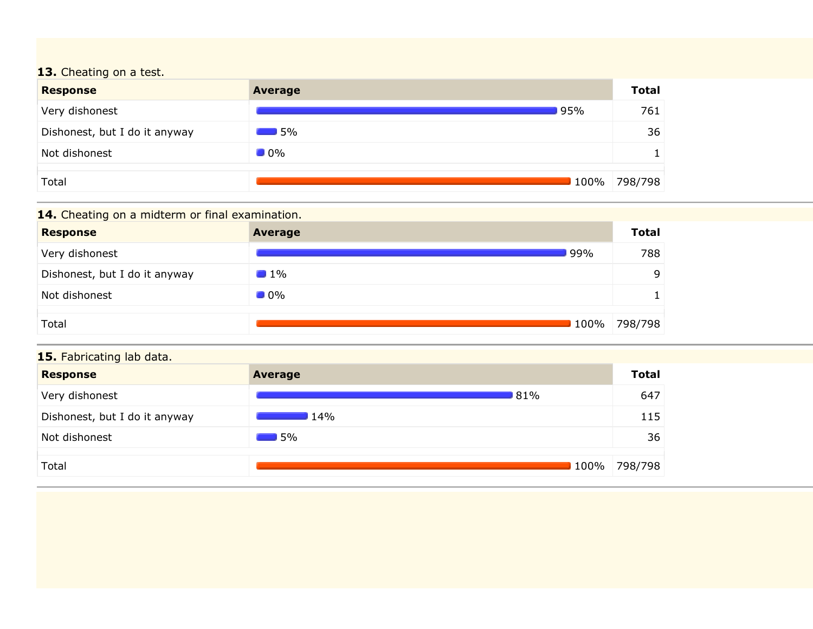# **13.** Cheating on a test.

| <b>Response</b>               | <b>Average</b>    | <b>Total</b> |
|-------------------------------|-------------------|--------------|
| Very dishonest                | <b>95%</b>        | 761          |
| Dishonest, but I do it anyway | $\Box$ 5%         | 36           |
| Not dishonest                 | $\blacksquare$ 0% |              |
| Total                         | 100%              | 798/798      |

## **14.** Cheating on a midterm or final examination.

| <b>Response</b>               | <b>Average</b>    | <b>Total</b> |
|-------------------------------|-------------------|--------------|
| Very dishonest                | 99%               | 788          |
| Dishonest, but I do it anyway | $\blacksquare$ 1% | a            |
| Not dishonest                 | $\blacksquare$ 0% |              |
| Total                         | 100%              | 798/798      |

## **15.** Fabricating lab data.

| <b>Response</b>               | <b>Average</b>    | <b>Total</b> |
|-------------------------------|-------------------|--------------|
| Very dishonest                | 81%               | 647          |
| Dishonest, but I do it anyway | 14%               | 115          |
| Not dishonest                 | $\blacksquare$ 5% | 36           |
| Total                         | 100%              | 798/798      |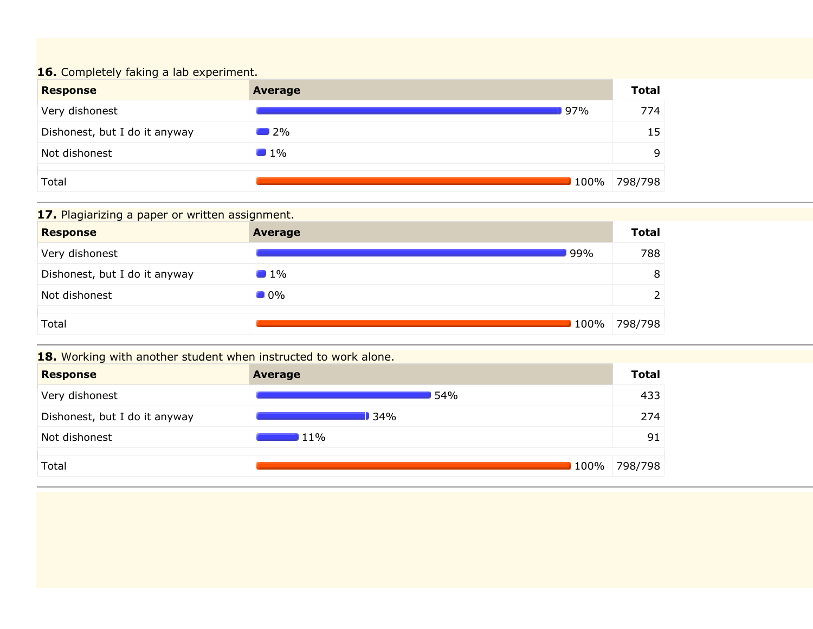### **16.** Completely faking a lab experiment.

| <b>Response</b>               | <b>Average</b>    | <b>Total</b> |
|-------------------------------|-------------------|--------------|
| Very dishonest                | $97\%$            | 774          |
| Dishonest, but I do it anyway | $\blacksquare$ 2% | 15           |
| Not dishonest                 | $1\%$             | Q            |
| Total                         | 100%              | 798/798      |

## 17. Plagiarizing a paper or written assignment.

| <b>Response</b>               | <b>Average</b>    | <b>Total</b> |
|-------------------------------|-------------------|--------------|
| Very dishonest                | 99%               | 788          |
| Dishonest, but I do it anyway | $1\%$             | 8            |
| Not dishonest                 | $\blacksquare$ 0% |              |
| Total                         | 100%              | 798/798      |

## **18.** Working with another student when instructed to work alone.

| <b>Response</b>               | <b>Average</b> | <b>Total</b> |
|-------------------------------|----------------|--------------|
| Very dishonest                | 54%            | 433          |
| Dishonest, but I do it anyway | 34%            | 274          |
| Not dishonest                 | $11\%$         | 91           |
| Total                         | 100%           | 798/798      |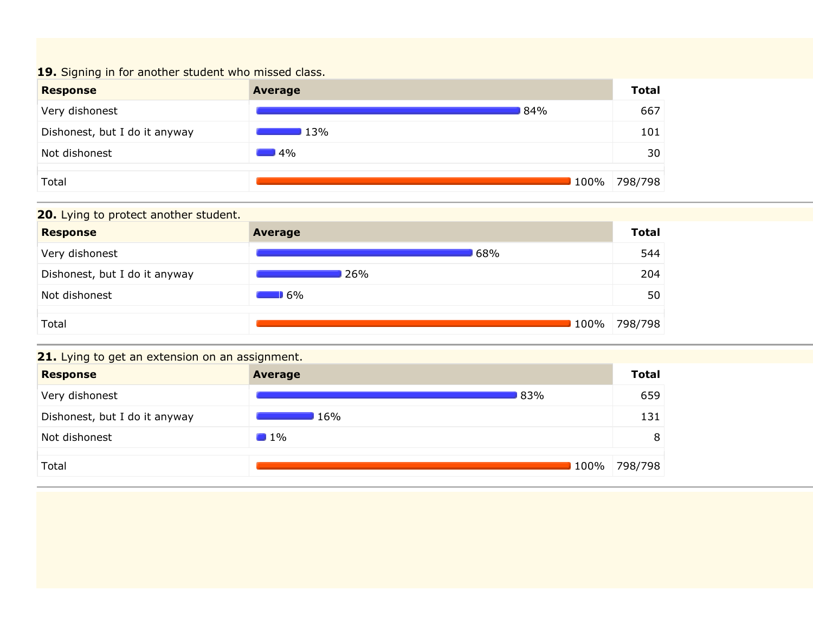### **19.** Signing in for another student who missed class.



### **20.** Lying to protect another student.



### 21. Lying to get an extension on an assignment.

| <b>Response</b>               | Average           | <b>Total</b> |
|-------------------------------|-------------------|--------------|
| Very dishonest                | 83%               | 659          |
| Dishonest, but I do it anyway | 16%               | 131          |
| Not dishonest                 | $\blacksquare$ 1% | 8            |
| Total                         | 100%              | 798/798      |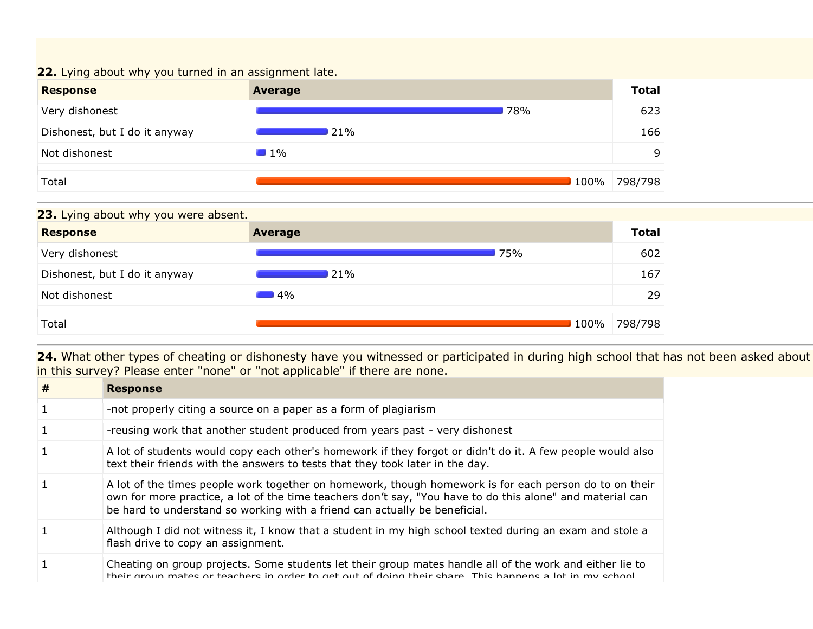### **22.** Lying about why you turned in an assignment late.



### **23.** Lying about why you were absent.



**24.** What other types of cheating or dishonesty have you witnessed or participated in during high school that has not been asked about in this survey? Please enter "none" or "not applicable" if there are none.

| #  | <b>Response</b>                                                                                                                                                                                                                                                                                   |
|----|---------------------------------------------------------------------------------------------------------------------------------------------------------------------------------------------------------------------------------------------------------------------------------------------------|
| -1 | -not properly citing a source on a paper as a form of plagiarism                                                                                                                                                                                                                                  |
| -1 | -reusing work that another student produced from years past - very dishonest                                                                                                                                                                                                                      |
| -1 | A lot of students would copy each other's homework if they forgot or didn't do it. A few people would also<br>text their friends with the answers to tests that they took later in the day.                                                                                                       |
| -1 | A lot of the times people work together on homework, though homework is for each person do to on their<br>own for more practice, a lot of the time teachers don't say, "You have to do this alone" and material can<br>be hard to understand so working with a friend can actually be beneficial. |
| -1 | Although I did not witness it, I know that a student in my high school texted during an exam and stole a<br>flash drive to copy an assignment.                                                                                                                                                    |
|    | Cheating on group projects. Some students let their group mates handle all of the work and either lie to<br>thair aroun matee or teachers in order to get out of doing their share. This hannens a lot in my school                                                                               |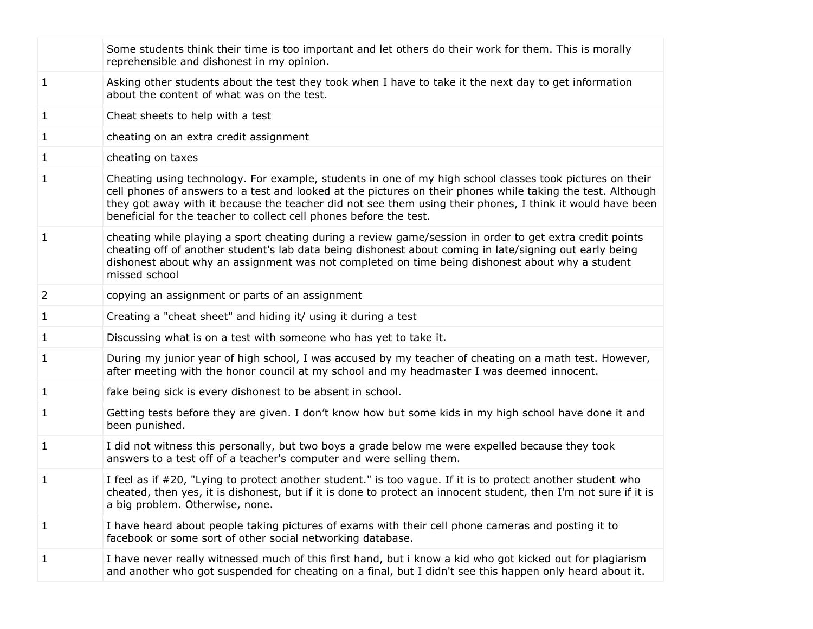|              | Some students think their time is too important and let others do their work for them. This is morally<br>reprehensible and dishonest in my opinion.                                                                                                                                                                                                                                                       |
|--------------|------------------------------------------------------------------------------------------------------------------------------------------------------------------------------------------------------------------------------------------------------------------------------------------------------------------------------------------------------------------------------------------------------------|
| $\mathbf{1}$ | Asking other students about the test they took when I have to take it the next day to get information<br>about the content of what was on the test.                                                                                                                                                                                                                                                        |
| $\mathbf{1}$ | Cheat sheets to help with a test                                                                                                                                                                                                                                                                                                                                                                           |
| $\mathbf{1}$ | cheating on an extra credit assignment                                                                                                                                                                                                                                                                                                                                                                     |
| $\mathbf{1}$ | cheating on taxes                                                                                                                                                                                                                                                                                                                                                                                          |
| $\mathbf{1}$ | Cheating using technology. For example, students in one of my high school classes took pictures on their<br>cell phones of answers to a test and looked at the pictures on their phones while taking the test. Although<br>they got away with it because the teacher did not see them using their phones, I think it would have been<br>beneficial for the teacher to collect cell phones before the test. |
| $\mathbf{1}$ | cheating while playing a sport cheating during a review game/session in order to get extra credit points<br>cheating off of another student's lab data being dishonest about coming in late/signing out early being<br>dishonest about why an assignment was not completed on time being dishonest about why a student<br>missed school                                                                    |
| 2            | copying an assignment or parts of an assignment                                                                                                                                                                                                                                                                                                                                                            |
| $\mathbf{1}$ | Creating a "cheat sheet" and hiding it/ using it during a test                                                                                                                                                                                                                                                                                                                                             |
| $\mathbf{1}$ | Discussing what is on a test with someone who has yet to take it.                                                                                                                                                                                                                                                                                                                                          |
| 1            | During my junior year of high school, I was accused by my teacher of cheating on a math test. However,<br>after meeting with the honor council at my school and my headmaster I was deemed innocent.                                                                                                                                                                                                       |
| $\mathbf{1}$ | fake being sick is every dishonest to be absent in school.                                                                                                                                                                                                                                                                                                                                                 |
| 1            | Getting tests before they are given. I don't know how but some kids in my high school have done it and<br>been punished.                                                                                                                                                                                                                                                                                   |
| $\mathbf{1}$ | I did not witness this personally, but two boys a grade below me were expelled because they took<br>answers to a test off of a teacher's computer and were selling them.                                                                                                                                                                                                                                   |
| 1            | I feel as if #20, "Lying to protect another student." is too vague. If it is to protect another student who<br>cheated, then yes, it is dishonest, but if it is done to protect an innocent student, then I'm not sure if it is<br>a big problem. Otherwise, none.                                                                                                                                         |
| $\mathbf{1}$ | I have heard about people taking pictures of exams with their cell phone cameras and posting it to<br>facebook or some sort of other social networking database.                                                                                                                                                                                                                                           |
| 1            | I have never really witnessed much of this first hand, but i know a kid who got kicked out for plagiarism<br>and another who got suspended for cheating on a final, but I didn't see this happen only heard about it.                                                                                                                                                                                      |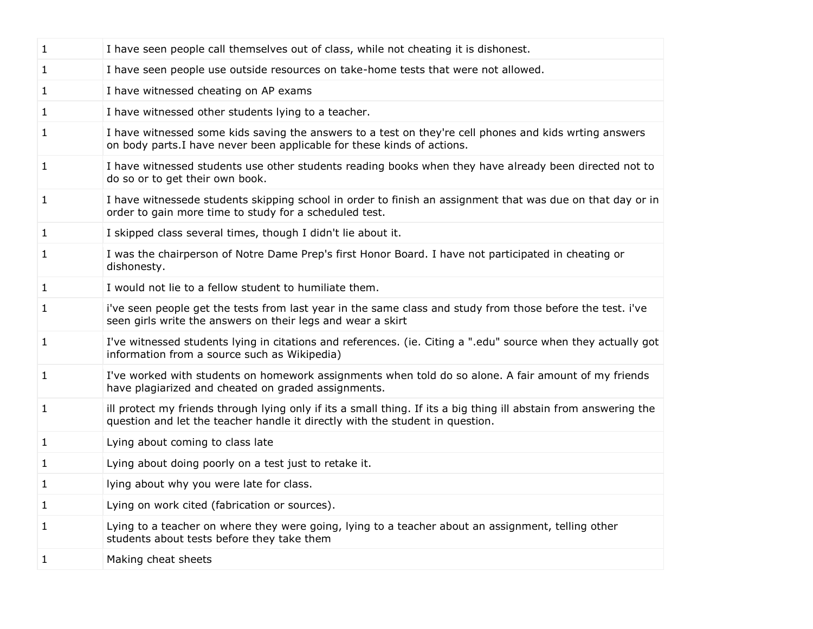| I have seen people use outside resources on take-home tests that were not allowed.<br>1<br>1<br>I have witnessed cheating on AP exams<br>I have witnessed other students lying to a teacher.<br>1<br>I have witnessed some kids saving the answers to a test on they're cell phones and kids wrting answers<br>1<br>on body parts. I have never been applicable for these kinds of actions.<br>I have witnessed students use other students reading books when they have already been directed not to<br>1<br>do so or to get their own book.<br>$\mathbf{1}$<br>I have witnessede students skipping school in order to finish an assignment that was due on that day or in<br>order to gain more time to study for a scheduled test.<br>I skipped class several times, though I didn't lie about it.<br>1<br>I was the chairperson of Notre Dame Prep's first Honor Board. I have not participated in cheating or<br>1<br>dishonesty.<br>I would not lie to a fellow student to humiliate them.<br>$\mathbf{1}$<br>i've seen people get the tests from last year in the same class and study from those before the test. i've<br>1<br>seen girls write the answers on their legs and wear a skirt<br>I've witnessed students lying in citations and references. (ie. Citing a ".edu" source when they actually got<br>1<br>information from a source such as Wikipedia)<br>I've worked with students on homework assignments when told do so alone. A fair amount of my friends<br>1<br>have plagiarized and cheated on graded assignments. |
|----------------------------------------------------------------------------------------------------------------------------------------------------------------------------------------------------------------------------------------------------------------------------------------------------------------------------------------------------------------------------------------------------------------------------------------------------------------------------------------------------------------------------------------------------------------------------------------------------------------------------------------------------------------------------------------------------------------------------------------------------------------------------------------------------------------------------------------------------------------------------------------------------------------------------------------------------------------------------------------------------------------------------------------------------------------------------------------------------------------------------------------------------------------------------------------------------------------------------------------------------------------------------------------------------------------------------------------------------------------------------------------------------------------------------------------------------------------------------------------------------------------------------------------------|
|                                                                                                                                                                                                                                                                                                                                                                                                                                                                                                                                                                                                                                                                                                                                                                                                                                                                                                                                                                                                                                                                                                                                                                                                                                                                                                                                                                                                                                                                                                                                              |
|                                                                                                                                                                                                                                                                                                                                                                                                                                                                                                                                                                                                                                                                                                                                                                                                                                                                                                                                                                                                                                                                                                                                                                                                                                                                                                                                                                                                                                                                                                                                              |
|                                                                                                                                                                                                                                                                                                                                                                                                                                                                                                                                                                                                                                                                                                                                                                                                                                                                                                                                                                                                                                                                                                                                                                                                                                                                                                                                                                                                                                                                                                                                              |
|                                                                                                                                                                                                                                                                                                                                                                                                                                                                                                                                                                                                                                                                                                                                                                                                                                                                                                                                                                                                                                                                                                                                                                                                                                                                                                                                                                                                                                                                                                                                              |
|                                                                                                                                                                                                                                                                                                                                                                                                                                                                                                                                                                                                                                                                                                                                                                                                                                                                                                                                                                                                                                                                                                                                                                                                                                                                                                                                                                                                                                                                                                                                              |
|                                                                                                                                                                                                                                                                                                                                                                                                                                                                                                                                                                                                                                                                                                                                                                                                                                                                                                                                                                                                                                                                                                                                                                                                                                                                                                                                                                                                                                                                                                                                              |
|                                                                                                                                                                                                                                                                                                                                                                                                                                                                                                                                                                                                                                                                                                                                                                                                                                                                                                                                                                                                                                                                                                                                                                                                                                                                                                                                                                                                                                                                                                                                              |
|                                                                                                                                                                                                                                                                                                                                                                                                                                                                                                                                                                                                                                                                                                                                                                                                                                                                                                                                                                                                                                                                                                                                                                                                                                                                                                                                                                                                                                                                                                                                              |
|                                                                                                                                                                                                                                                                                                                                                                                                                                                                                                                                                                                                                                                                                                                                                                                                                                                                                                                                                                                                                                                                                                                                                                                                                                                                                                                                                                                                                                                                                                                                              |
|                                                                                                                                                                                                                                                                                                                                                                                                                                                                                                                                                                                                                                                                                                                                                                                                                                                                                                                                                                                                                                                                                                                                                                                                                                                                                                                                                                                                                                                                                                                                              |
|                                                                                                                                                                                                                                                                                                                                                                                                                                                                                                                                                                                                                                                                                                                                                                                                                                                                                                                                                                                                                                                                                                                                                                                                                                                                                                                                                                                                                                                                                                                                              |
|                                                                                                                                                                                                                                                                                                                                                                                                                                                                                                                                                                                                                                                                                                                                                                                                                                                                                                                                                                                                                                                                                                                                                                                                                                                                                                                                                                                                                                                                                                                                              |
| ill protect my friends through lying only if its a small thing. If its a big thing ill abstain from answering the<br>1<br>question and let the teacher handle it directly with the student in question.                                                                                                                                                                                                                                                                                                                                                                                                                                                                                                                                                                                                                                                                                                                                                                                                                                                                                                                                                                                                                                                                                                                                                                                                                                                                                                                                      |
| 1<br>Lying about coming to class late                                                                                                                                                                                                                                                                                                                                                                                                                                                                                                                                                                                                                                                                                                                                                                                                                                                                                                                                                                                                                                                                                                                                                                                                                                                                                                                                                                                                                                                                                                        |
| Lying about doing poorly on a test just to retake it.<br>1                                                                                                                                                                                                                                                                                                                                                                                                                                                                                                                                                                                                                                                                                                                                                                                                                                                                                                                                                                                                                                                                                                                                                                                                                                                                                                                                                                                                                                                                                   |
| 1<br>lying about why you were late for class.                                                                                                                                                                                                                                                                                                                                                                                                                                                                                                                                                                                                                                                                                                                                                                                                                                                                                                                                                                                                                                                                                                                                                                                                                                                                                                                                                                                                                                                                                                |
| Lying on work cited (fabrication or sources).<br>1                                                                                                                                                                                                                                                                                                                                                                                                                                                                                                                                                                                                                                                                                                                                                                                                                                                                                                                                                                                                                                                                                                                                                                                                                                                                                                                                                                                                                                                                                           |
| $\mathbf{1}$<br>Lying to a teacher on where they were going, lying to a teacher about an assignment, telling other<br>students about tests before they take them                                                                                                                                                                                                                                                                                                                                                                                                                                                                                                                                                                                                                                                                                                                                                                                                                                                                                                                                                                                                                                                                                                                                                                                                                                                                                                                                                                             |
| 1<br>Making cheat sheets                                                                                                                                                                                                                                                                                                                                                                                                                                                                                                                                                                                                                                                                                                                                                                                                                                                                                                                                                                                                                                                                                                                                                                                                                                                                                                                                                                                                                                                                                                                     |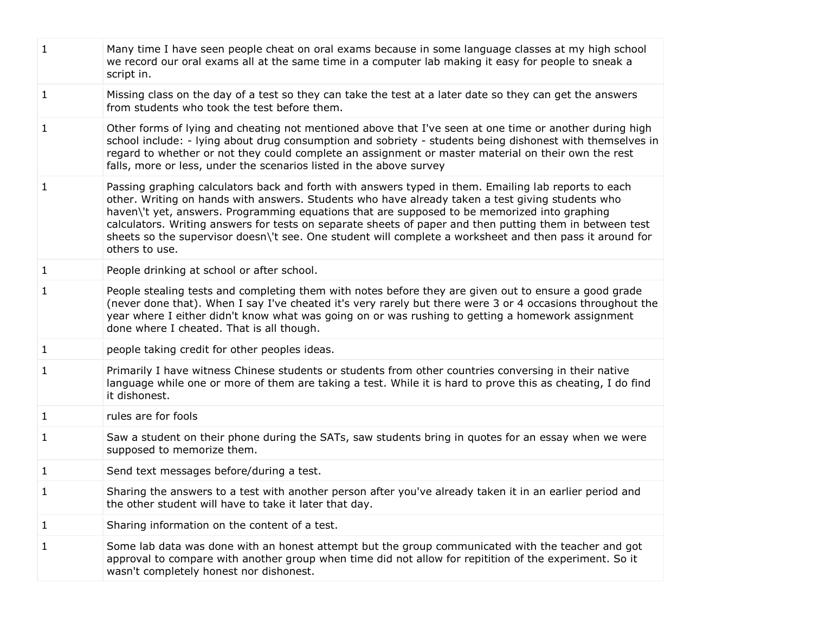| $\mathbf{1}$ | Many time I have seen people cheat on oral exams because in some language classes at my high school<br>we record our oral exams all at the same time in a computer lab making it easy for people to sneak a<br>script in.                                                                                                                                                                                                                                                                                                                          |
|--------------|----------------------------------------------------------------------------------------------------------------------------------------------------------------------------------------------------------------------------------------------------------------------------------------------------------------------------------------------------------------------------------------------------------------------------------------------------------------------------------------------------------------------------------------------------|
| $\mathbf{1}$ | Missing class on the day of a test so they can take the test at a later date so they can get the answers<br>from students who took the test before them.                                                                                                                                                                                                                                                                                                                                                                                           |
| 1            | Other forms of lying and cheating not mentioned above that I've seen at one time or another during high<br>school include: - lying about drug consumption and sobriety - students being dishonest with themselves in<br>regard to whether or not they could complete an assignment or master material on their own the rest<br>falls, more or less, under the scenarios listed in the above survey                                                                                                                                                 |
| 1            | Passing graphing calculators back and forth with answers typed in them. Emailing lab reports to each<br>other. Writing on hands with answers. Students who have already taken a test giving students who<br>haven\'t yet, answers. Programming equations that are supposed to be memorized into graphing<br>calculators. Writing answers for tests on separate sheets of paper and then putting them in between test<br>sheets so the supervisor doesn\'t see. One student will complete a worksheet and then pass it around for<br>others to use. |
| 1            | People drinking at school or after school.                                                                                                                                                                                                                                                                                                                                                                                                                                                                                                         |
| 1            | People stealing tests and completing them with notes before they are given out to ensure a good grade<br>(never done that). When I say I've cheated it's very rarely but there were 3 or 4 occasions throughout the<br>year where I either didn't know what was going on or was rushing to getting a homework assignment<br>done where I cheated. That is all though.                                                                                                                                                                              |
| $\mathbf{1}$ | people taking credit for other peoples ideas.                                                                                                                                                                                                                                                                                                                                                                                                                                                                                                      |
| 1            | Primarily I have witness Chinese students or students from other countries conversing in their native<br>language while one or more of them are taking a test. While it is hard to prove this as cheating, I do find<br>it dishonest.                                                                                                                                                                                                                                                                                                              |
| 1            | rules are for fools                                                                                                                                                                                                                                                                                                                                                                                                                                                                                                                                |
| 1            | Saw a student on their phone during the SATs, saw students bring in quotes for an essay when we were<br>supposed to memorize them.                                                                                                                                                                                                                                                                                                                                                                                                                 |
| 1            | Send text messages before/during a test.                                                                                                                                                                                                                                                                                                                                                                                                                                                                                                           |
| 1            | Sharing the answers to a test with another person after you've already taken it in an earlier period and<br>the other student will have to take it later that day.                                                                                                                                                                                                                                                                                                                                                                                 |
| 1            | Sharing information on the content of a test.                                                                                                                                                                                                                                                                                                                                                                                                                                                                                                      |
| 1            | Some lab data was done with an honest attempt but the group communicated with the teacher and got<br>approval to compare with another group when time did not allow for repitition of the experiment. So it<br>wasn't completely honest nor dishonest.                                                                                                                                                                                                                                                                                             |